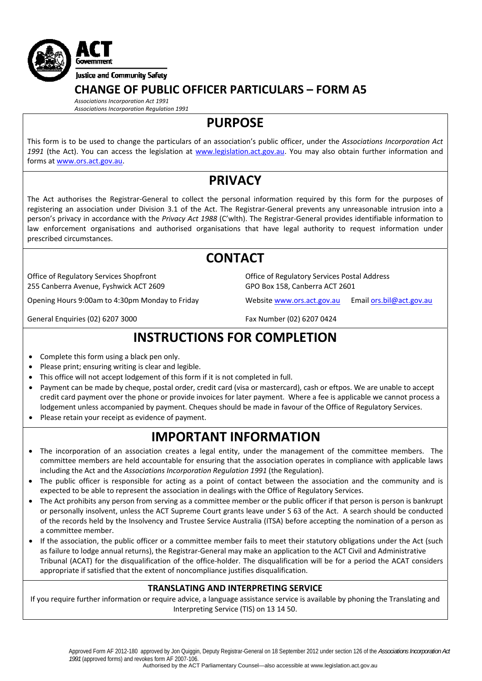

## **CHANGE OF PUBLIC OFFICER PARTICULARS – FORM A5**

*Associations Incorporation Act 1991 Associations Incorporation Regulation 1991*

**PURPOSE**

This form is to be used to change the particulars of an association's public officer, under the *Associations Incorporation Act 1991* (the Act). You can access the legislation at [www.legislation.act.gov.au.](http://www.legislation.act.gov.au/) You may also obtain further information and forms at [www.ors.act.gov.au](http://www.ors.act.gov.au/).

# **PRIVACY**

The Act authorises the Registrar‐General to collect the personal information required by this form for the purposes of registering an association under Division 3.1 of the Act. The Registrar‐General prevents any unreasonable intrusion into a person's privacy in accordance with the *Privacy Act 1988* (C'wlth). The Registrar‐General provides identifiable information to law enforcement organisations and authorised organisations that have legal authority to request information under prescribed circumstances.

## **CONTACT**

Office of Regulatory Services Shopfront 255 Canberra Avenue, Fyshwick ACT 2609

Opening Hours 9:00am to 4:30pm Monday to Friday Website [www.ors.act.gov.au](http://www.ors.act.gov.au/) Email [ors.bil@act.gov.au](mailto:ors.bil@act.gov.au)

General Enquiries (02) 6207 3000 Fax Number (02) 6207 0424

GPO Box 158, Canberra ACT 2601

Office of Regulatory Services Postal Address

# **INSTRUCTIONS FOR COMPLETION**

- Complete this form using a black pen only.
- Please print; ensuring writing is clear and legible.
- This office will not accept lodgement of this form if it is not completed in full.
- Payment can be made by cheque, postal order, credit card (visa or mastercard), cash or eftpos. We are unable to accept credit card payment over the phone or provide invoices for later payment. Where a fee is applicable we cannot process a lodgement unless accompanied by payment. Cheques should be made in favour of the Office of Regulatory Services.
- Please retain your receipt as evidence of payment.

## **IMPORTANT INFORMATION**

- The incorporation of an association creates a legal entity, under the management of the committee members. The committee members are held accountable for ensuring that the association operates in compliance with applicable laws including the Act and the *Associations Incorporation Regulation 1991* (the Regulation).
- The public officer is responsible for acting as a point of contact between the association and the community and is expected to be able to represent the association in dealings with the Office of Regulatory Services.
- The Act prohibits any person from serving as a committee member or the public officer if that person is person is bankrupt or personally insolvent, unless the ACT Supreme Court grants leave under S 63 of the Act. A search should be conducted of the records held by the Insolvency and Trustee Service Australia (ITSA) before accepting the nomination of a person as a committee member.
- If the association, the public officer or a committee member fails to meet their statutory obligations under the Act (such as failure to lodge annual returns), the Registrar‐General may make an application to the ACT Civil and Administrative Tribunal (ACAT) for the disqualification of the office‐holder. The disqualification will be for a period the ACAT considers appropriate if satisfied that the extent of noncompliance iustifies disqualification.

### **TRANSLATING AND INTERPRETING SERVICE**

If you require further information or require advice, a language assistance service is available by phoning the Translating and Interpreting Service (TIS) on 13 14 50.